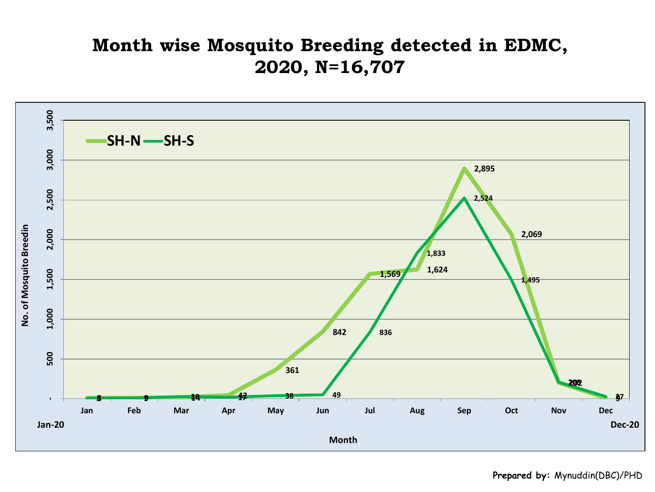## **Month wise Mosquito Breeding detected in EDMC, 2020, N=16,707**

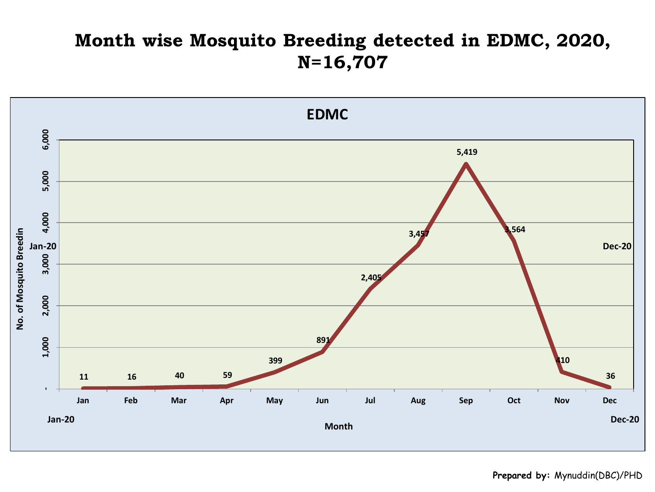## **Month wise Mosquito Breeding detected in EDMC, 2020, N=16,707**

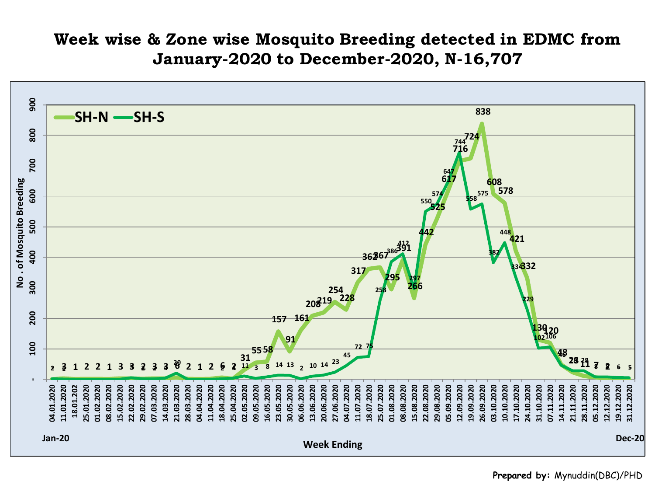## **Week wise & Zone wise Mosquito Breeding detected in EDMC from January-2020 to December-2020, N-16,707**